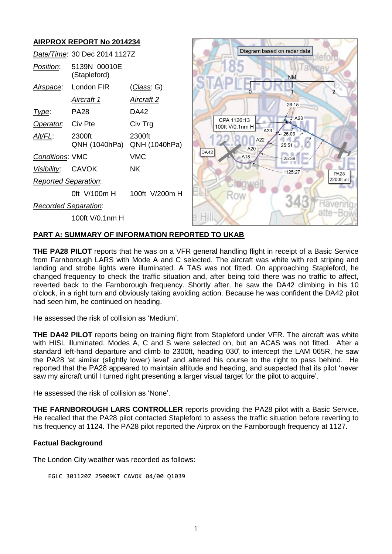

## **PART A: SUMMARY OF INFORMATION REPORTED TO UKAB**

**THE PA28 PILOT** reports that he was on a VFR general handling flight in receipt of a Basic Service from Farnborough LARS with Mode A and C selected. The aircraft was white with red striping and landing and strobe lights were illuminated. A TAS was not fitted. On approaching Stapleford, he changed frequency to check the traffic situation and, after being told there was no traffic to affect, reverted back to the Farnborough frequency. Shortly after, he saw the DA42 climbing in his 10 o'clock, in a right turn and obviously taking avoiding action. Because he was confident the DA42 pilot had seen him, he continued on heading.

He assessed the risk of collision as 'Medium'.

**THE DA42 PILOT** reports being on training flight from Stapleford under VFR. The aircraft was white with HISL illuminated. Modes A, C and S were selected on, but an ACAS was not fitted. After a standard left-hand departure and climb to 2300ft, heading 030, to intercept the LAM 065R, he saw the PA28 'at similar (slightly lower) level' and altered his course to the right to pass behind. He reported that the PA28 appeared to maintain altitude and heading, and suspected that its pilot 'never saw my aircraft until I turned right presenting a larger visual target for the pilot to acquire'.

He assessed the risk of collision as 'None'.

**THE FARNBOROUGH LARS CONTROLLER** reports providing the PA28 pilot with a Basic Service. He recalled that the PA28 pilot contacted Stapleford to assess the traffic situation before reverting to his frequency at 1124. The PA28 pilot reported the Airprox on the Farnborough frequency at 1127.

### **Factual Background**

The London City weather was recorded as follows:

```
EGLC 301120Z 25009KT CAVOK 04/00 Q1039
```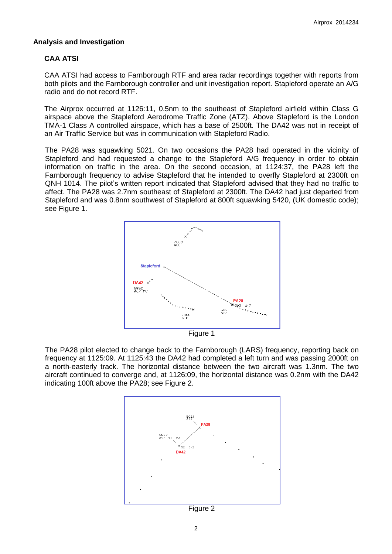## **Analysis and Investigation**

# **CAA ATSI**

CAA ATSI had access to Farnborough RTF and area radar recordings together with reports from both pilots and the Farnborough controller and unit investigation report. Stapleford operate an A/G radio and do not record RTF.

The Airprox occurred at 1126:11, 0.5nm to the southeast of Stapleford airfield within Class G airspace above the Stapleford Aerodrome Traffic Zone (ATZ). Above Stapleford is the London TMA-1 Class A controlled airspace, which has a base of 2500ft. The DA42 was not in receipt of an Air Traffic Service but was in communication with Stapleford Radio.

The PA28 was squawking 5021. On two occasions the PA28 had operated in the vicinity of Stapleford and had requested a change to the Stapleford A/G frequency in order to obtain information on traffic in the area. On the second occasion, at 1124:37, the PA28 left the Farnborough frequency to advise Stapleford that he intended to overfly Stapleford at 2300ft on QNH 1014. The pilot's written report indicated that Stapleford advised that they had no traffic to affect. The PA28 was 2.7nm southeast of Stapleford at 2300ft. The DA42 had just departed from Stapleford and was 0.8nm southwest of Stapleford at 800ft squawking 5420, (UK domestic code); see Figure 1.



The PA28 pilot elected to change back to the Farnborough (LARS) frequency, reporting back on frequency at 1125:09. At 1125:43 the DA42 had completed a left turn and was passing 2000ft on a north-easterly track. The horizontal distance between the two aircraft was 1.3nm. The two aircraft continued to converge and, at 1126:09, the horizontal distance was 0.2nm with the DA42 indicating 100ft above the PA28; see Figure 2.



Figure 2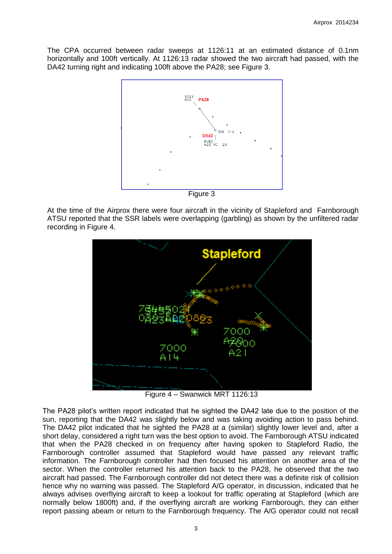The CPA occurred between radar sweeps at 1126:11 at an estimated distance of 0.1nm horizontally and 100ft vertically. At 1126:13 radar showed the two aircraft had passed, with the DA42 turning right and indicating 100ft above the PA28; see Figure 3.



Figure 3

At the time of the Airprox there were four aircraft in the vicinity of Stapleford and Farnborough ATSU reported that the SSR labels were overlapping (garbling) as shown by the unfiltered radar recording in Figure 4.



Figure 4 – Swanwick MRT 1126:13

The PA28 pilot's written report indicated that he sighted the DA42 late due to the position of the sun, reporting that the DA42 was slightly below and was taking avoiding action to pass behind. The DA42 pilot indicated that he sighted the PA28 at a (similar) slightly lower level and, after a short delay, considered a right turn was the best option to avoid. The Farnborough ATSU indicated that when the PA28 checked in on frequency after having spoken to Stapleford Radio, the Farnborough controller assumed that Stapleford would have passed any relevant traffic information. The Farnborough controller had then focused his attention on another area of the sector. When the controller returned his attention back to the PA28, he observed that the two aircraft had passed. The Farnborough controller did not detect there was a definite risk of collision hence why no warning was passed. The Stapleford A/G operator, in discussion, indicated that he always advises overflying aircraft to keep a lookout for traffic operating at Stapleford (which are normally below 1800ft) and, if the overflying aircraft are working Farnborough, they can either report passing abeam or return to the Farnborough frequency. The A/G operator could not recall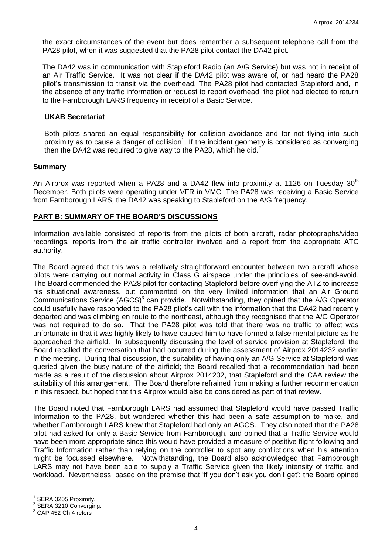the exact circumstances of the event but does remember a subsequent telephone call from the PA28 pilot, when it was suggested that the PA28 pilot contact the DA42 pilot.

The DA42 was in communication with Stapleford Radio (an A/G Service) but was not in receipt of an Air Traffic Service. It was not clear if the DA42 pilot was aware of, or had heard the PA28 pilot's transmission to transit via the overhead. The PA28 pilot had contacted Stapleford and, in the absence of any traffic information or request to report overhead, the pilot had elected to return to the Farnborough LARS frequency in receipt of a Basic Service.

#### **UKAB Secretariat**

Both pilots shared an equal responsibility for collision avoidance and for not flying into such proximity as to cause a danger of collision<sup>1</sup>. If the incident geometry is considered as converging then the DA42 was required to give way to the PA28, which he did. $2$ 

#### **Summary**

An Airprox was reported when a PA28 and a DA42 flew into proximity at 1126 on Tuesday  $30<sup>th</sup>$ December. Both pilots were operating under VFR in VMC. The PA28 was receiving a Basic Service from Farnborough LARS, the DA42 was speaking to Stapleford on the A/G frequency.

#### **PART B: SUMMARY OF THE BOARD'S DISCUSSIONS**

Information available consisted of reports from the pilots of both aircraft, radar photographs/video recordings, reports from the air traffic controller involved and a report from the appropriate ATC authority.

The Board agreed that this was a relatively straightforward encounter between two aircraft whose pilots were carrying out normal activity in Class G airspace under the principles of see-and-avoid. The Board commended the PA28 pilot for contacting Stapleford before overflying the ATZ to increase his situational awareness, but commented on the very limited information that an Air Ground Communications Service (AGCS) $3$  can provide. Notwithstanding, they opined that the A/G Operator could usefully have responded to the PA28 pilot's call with the information that the DA42 had recently departed and was climbing en route to the northeast, although they recognised that the A/G Operator was not required to do so. That the PA28 pilot was told that there was no traffic to affect was unfortunate in that it was highly likely to have caused him to have formed a false mental picture as he approached the airfield. In subsequently discussing the level of service provision at Stapleford, the Board recalled the conversation that had occurred during the assessment of Airprox 2014232 earlier in the meeting. During that discussion, the suitability of having only an A/G Service at Stapleford was queried given the busy nature of the airfield; the Board recalled that a recommendation had been made as a result of the discussion about Airprox 2014232, that Stapleford and the CAA review the suitability of this arrangement. The Board therefore refrained from making a further recommendation in this respect, but hoped that this Airprox would also be considered as part of that review.

The Board noted that Farnborough LARS had assumed that Stapleford would have passed Traffic Information to the PA28, but wondered whether this had been a safe assumption to make, and whether Farnborough LARS knew that Stapleford had only an AGCS. They also noted that the PA28 pilot had asked for only a Basic Service from Farnborough, and opined that a Traffic Service would have been more appropriate since this would have provided a measure of positive flight following and Traffic Information rather than relying on the controller to spot any conflictions when his attention might be focussed elsewhere. Notwithstanding, the Board also acknowledged that Farnborough LARS may not have been able to supply a Traffic Service given the likely intensity of traffic and workload. Nevertheless, based on the premise that 'if you don't ask you don't get'; the Board opined

 $\overline{a}$ 1 SERA 3205 Proximity.

<sup>2</sup> SERA 3210 Converging.

 $3$  CAP 452 Ch 4 refers